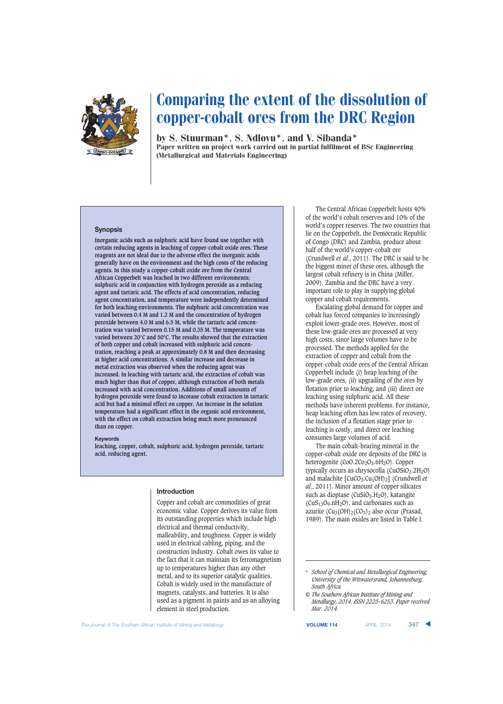

by S. Stuurman\*, S. Ndlovu\*, and V. Sibanda\* Paper written on project work carried out in partial fulfilment of BSc Engineering (Metallurgical and Materials Engineering)

#### **Synopsis**

**Inorganic acids such as sulphuric acid have found use together with certain reducing agents in leaching of copper-cobalt oxide ores. These reagents are not ideal due to the adverse effect the inorganic acids generally have on the environment and the high costs of the reducing agents. In this study a copper-cobalt oxide ore from the Central African Copperbelt was leached in two different environments; sulphuric acid in conjunction with hydrogen peroxide as a reducing agent and tartaric acid. The effects of acid concentration, reducing agent concentration, and temperature were independently determined for both leaching environments. The sulphuric acid concentration was varied between 0.4 M and 1.2 M and the concentration of hydrogen peroxide between 4.0 M and 6.5 M, while the tartaric acid concentration was varied between 0.15 M and 0.35 M. The temperature was varied between 20°C and 50°C. The results showed that the extraction of both copper and cobalt increased with sulphuric acid concentration, reaching a peak at approximately 0.8 M and then decreasing at higher acid concentrations. A similar increase and decrease in metal extraction was observed when the reducing agent was increased. In leaching with tartaric acid, the extraction of cobalt was much higher than that of copper, although extraction of both metals increased with acid concentration. Additions of small amounts of hydrogen peroxide were found to increase cobalt extraction in tartaric acid but had a minimal effect on copper. An increase in the solution temperature had a significant effect in the organic acid environment, with the effect on cobalt extraction being much more pronounced than on copper.**

#### **Keywords**

**leaching, copper, cobalt, sulphuric acid, hydrogen peroxide, tartaric acid, reducing agent.**

#### **Introduction**

Copper and cobalt are commodities of great economic value. Copper derives its value from its outstanding properties which include high electrical and thermal conductivity, malleability, and toughness. Copper is widely used in electrical cabling, piping, and the construction industry. Cobalt owes its value to the fact that it can maintain its ferromagnetism up to temperatures higher than any other metal, and to its superior catalytic qualities. Cobalt is widely used in the manufacture of magnets, catalysts, and batteries. It is also used as a pigment in paints and as an alloying element in steel production.

The Central African Copperbelt hosts 40% of the world's cobalt reserves and 10% of the world's copper reserves. The two countries that lie on the Copperbelt, the Democratic Republic of Congo (DRC) and Zambia, produce about half of the world's copper-cobalt ore (Crundwell *et al*., 2011). The DRC is said to be the biggest miner of these ores, although the largest cobalt refinery is in China (Miller, 2009). Zambia and the DRC have a very important role to play in supplying global copper and cobalt requirements.

Escalating global demand for copper and cobalt has forced companies to increasingly exploit lower-grade ores. However, most of these low-grade ores are processed at very high costs, since large volumes have to be processed. The methods applied for the extraction of copper and cobalt from the copper-cobalt oxide ores of the Central African Copperbelt include (i) heap leaching of the low-grade ores, (ii) upgrading of the ores by flotation prior to leaching, and (iii) direct ore leaching using sulphuric acid. All these methods have inherent problems. For instance, heap leaching often has low rates of recovery, the inclusion of a flotation stage prior to leaching is costly, and direct ore leaching consumes large volumes of acid.

The main cobalt-bearing mineral in the copper-cobalt oxide ore deposits of the DRC is heterogenite (CoO.2Co<sub>2</sub>O<sub>3</sub>.6H<sub>2</sub>O). Copper typically occurs as chrysocolla  $(CuOSiO<sub>2</sub>.2H<sub>2</sub>O)$ and malachite [CuCO3.Cu(OH)2] (Crundwell *et al*., 2011). Minor amount of copper silicates such as dioptase (CuSiO3.H2O), katangite  $(CuS_{13}O_9.nH_2O)$ , and carbonates such as azurite  $(Cu_3(OH)_2(CO_3)_2)$  also occur (Prasad, 1989). The main oxides are listed in Table I.

**The Journal of The Southern African Institute of Mining and Metallurgy <b>VOLUME 114** APRIL 2014 **347** 

<sup>\*</sup> *School of Chemical and Metallurgical Engineering, University of the Witwatersrand, Johannesburg, South Africa.*

*<sup>©</sup> The Southern African Institute of Mining and Metallurgy, 2014. ISSN 2225-6253. Paper received Mar. 2014.*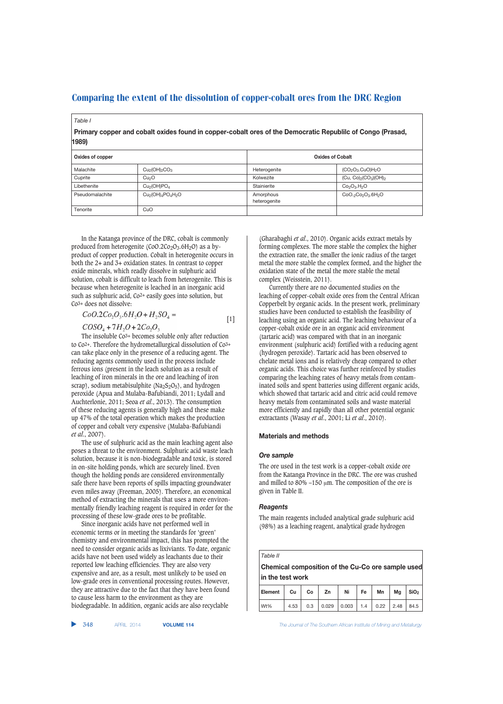*Table I*

**Primary copper and cobalt oxides found in copper-cobalt ores of the Democratic Republilc of Congo (Prasad, 1989)**

| Oxides of copper |                                     | <b>Oxides of Cobalt</b>   |                                |  |
|------------------|-------------------------------------|---------------------------|--------------------------------|--|
| Malachite        | $Cu2(OH)2CO3$                       | Heterogenite              | $(CO2O3.CuO)H2O$               |  |
| Cuprite          | Cu <sub>2</sub> O                   | Kolwezite                 | $(Cu, Co)_{2}(CO_{3})(OH)_{2}$ |  |
| Libethenite      | Cu <sub>2</sub> (OH)PO <sub>4</sub> | Stainierite               | $Co2O3$ .H <sub>2</sub> O      |  |
| Pseudomalachite  | $Cu2(OH)4PO4H2O$                    | Amorphous<br>heterogenite | CoO.2Co2O3.6H2O                |  |
| Tenorite         | CuO                                 |                           |                                |  |

In the Katanga province of the DRC, cobalt is commonly produced from heterogenite  $(COO.2CO<sub>2</sub>O<sub>3</sub>$ .6H<sub>2</sub>O) as a byproduct of copper production. Cobalt in heterogenite occurs in both the 2+ and 3+ oxidation states. In contrast to copper oxide minerals, which readly dissolve in sulphuric acid solution, cobalt is difficult to leach from heterogenite. This is because when heterogenite is leached in an inorganic acid such as sulphuric acid, Co2+ easily goes into solution, but Co3+ does not dissolve:

 $CoO.2Co<sub>2</sub>O<sub>3</sub>.6H<sub>2</sub>O + H<sub>2</sub>SO<sub>4</sub> =$  $[1]$ 

 $COSO<sub>4</sub> + 7H<sub>2</sub>O + 2Co<sub>2</sub>O<sub>3</sub>$ 

The insoluble Co3+ becomes soluble only after reduction to Co2+. Therefore the hydrometallurgical dissolution of Co3+ can take place only in the presence of a reducing agent. The reducing agents commonly used in the process include ferrous ions (present in the leach solution as a result of leaching of iron minerals in the ore and leaching of iron scrap), sodium metabisulphite ( $Na<sub>2</sub>S<sub>2</sub>O<sub>5</sub>$ ), and hydrogen peroxide (Apua and Mulaba-Bafubiandi, 2011; Lydall and Auchterlonie, 2011; Seoa *et al*., 2013). The consumption of these reducing agents is generally high and these make up 47% of the total operation which makes the production of copper and cobalt very expensive (Mulaba-Bafubiandi *et al*., 2007).

The use of sulphuric acid as the main leaching agent also poses a threat to the environment. Sulphuric acid waste leach solution, because it is non-biodegradable and toxic, is stored in on-site holding ponds, which are securely lined. Even though the holding ponds are considered environmentally safe there have been reports of spills impacting groundwater even miles away (Freeman, 2005). Therefore, an economical method of extracting the minerals that uses a more environmentally friendly leaching reagent is required in order for the processing of these low-grade ores to be profitable.

Since inorganic acids have not performed well in economic terms or in meeting the standards for 'green' chemistry and environmental impact, this has prompted the need to consider organic acids as lixiviants. To date, organic acids have not been used widely as leachants due to their reported low leaching efficiencies. They are also very expensive and are, as a result, most unlikely to be used on low-grade ores in conventional processing routes. However, they are attractive due to the fact that they have been found to cause less harm to the environment as they are biodegradable. In addition, organic acids are also recyclable

(Gharabaghi *et al*., 2010). Organic acids extract metals by forming complexes. The more stable the complex the higher the extraction rate, the smaller the ionic radius of the target metal the more stable the complex formed, and the higher the oxidation state of the metal the more stable the metal complex (Weisstein, 2011).

Currently there are no documented studies on the leaching of copper-cobalt oxide ores from the Central African Copperbelt by organic acids. In the present work, preliminary studies have been conducted to establish the feasibility of leaching using an organic acid. The leaching behaviour of a copper-cobalt oxide ore in an organic acid environment (tartaric acid) was compared with that in an inorganic environment (sulphuric acid) fortified with a reducing agent (hydrogen peroxide). Tartaric acid has been observed to chelate metal ions and is relatively cheap compared to other organic acids. This choice was further reinforced by studies comparing the leaching rates of heavy metals from contaminated soils and spent batteries using different organic acids, which showed that tartaric acid and citric acid could remove heavy metals from contaminated soils and waste material more efficiently and rapidly than all other potential organic extractants (Wasay *et al*., 2001; Li *et al*., 2010).

### **Materials and methods**

### *Ore sample*

The ore used in the test work is a copper-cobalt oxide ore from the Katanga Province in the DRC. The ore was crushed and milled to 80% –150 μm. The composition of the ore is given in Table II.

### *Reagents*

The main reagents included analytical grade sulphuric acid (98%) as a leaching reagent, analytical grade hydrogen

| Table II                                                                                   |      |     |       |       |     |      |      |                  |
|--------------------------------------------------------------------------------------------|------|-----|-------|-------|-----|------|------|------------------|
| Chemical composition of the Cu-Co ore sample used<br>$\mathop{\mathsf{lin}}$ the test work |      |     |       |       |     |      |      |                  |
| Element                                                                                    | Cu   | Co  | Zn    | Ni    | Fe  | Mn   | Mg   | SiO <sub>2</sub> |
| Wt%                                                                                        | 4.53 | 0.3 | 0.029 | 0.003 | 1.4 | 0.22 | 2.48 | 84.5             |

348 APRIL 2014 **VOLUME 114** *The Journal of The Southern African Institute of Mining and Metallurgy*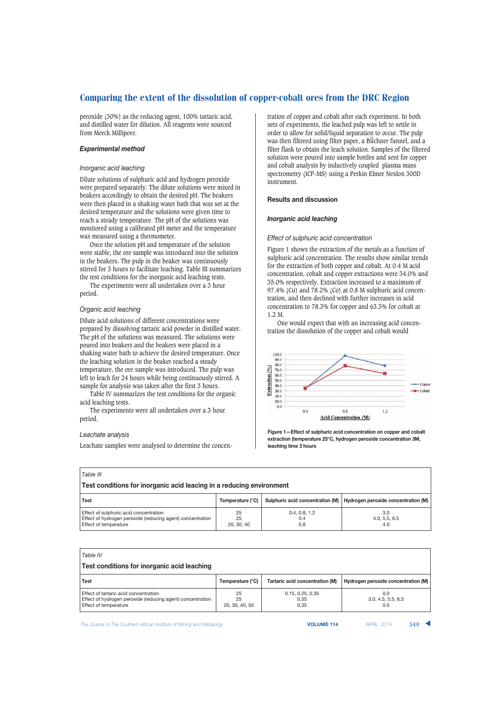peroxide (30%) as the reducing agent, 100% tartaric acid, and distilled water for dilution. All reagents were sourced from Merck Millipore.

### *Experimental method*

### *Inorganic acid leaching*

Dilute solutions of sulphuric acid and hydrogen peroxide were prepared separately. The dilute solutions were mixed in beakers accordingly to obtain the desired pH. The beakers were then placed in a shaking water bath that was set at the desired temperature and the solutions were given time to reach a steady temperature. The pH of the solutions was monitored using a calibrated pH meter and the temperature was measured using a thermometer.

Once the solution pH and temperature of the solution were stable, the ore sample was introduced into the solution in the beakers. The pulp in the beaker was continuously stirred for 3 hours to facilitate leaching. Table III summarizes the test conditions for the inorganic acid leaching tests.

The experiments were all undertaken over a 3 hour period.

### *Organic acid leaching*

Dilute acid solutions of different concentrations were prepared by dissolving tartaric acid powder in distilled water. The pH of the solutions was measured. The solutions were poured into beakers and the beakers were placed in a shaking water bath to achieve the desired temperature. Once the leaching solution in the beaker reached a steady temperature, the ore sample was introduced. The pulp was left to leach for 24 hours while being continuously stirred. A sample for analysis was taken after the first 3 hours.

Table IV summarizes the test conditions for the organic acid leaching tests.

The experiments were all undertaken over a 3 hour period.

### *Leachate analysis*

Leachate samples were analysed to determine the concen-

tration of copper and cobalt after each experiment. In both sets of experiments, the leached pulp was left to settle in order to allow for solid/liquid separation to occur. The pulp was then filtered using filter paper, a  $B\ddot{u}$ chner funnel, and a filter flask to obtain the leach solution. Samples of the filtered solution were poured into sample bottles and sent for copper and cobalt analysis by inductively coupled plasma mass spectrometry (ICP-MS) using a Perkin Elmer Nexlon 300D instrument.

### **Results and discussion**

### *Inorganic acid leaching*

### *Effect of sulphuric acid concentration*

Figure 1 shows the extraction of the metals as a function of sulphuric acid concentration. The results show similar trends for the extraction of both copper and cobalt. At 0.4 M acid concentration, cobalt and copper extractions were 34.0% and 35.0% respectively. Extraction increased to a maximum of 97.4% (Cu) and 78.2% (Co) at 0.8 M sulphuric acid concentration, and then declined with further increases in acid concentration to 78.3% for copper and 63.3% for cobalt at 1.2 M.

One would expect that with an increasing acid concentration the dissolution of the copper and cobalt would



**Figure 1—Effect of sulphuric acid concentration on copper and cobalt extraction (temperature 25°C, hydrogen peroxide concentration 3M, leaching time 3 hours**

| Table III                                                                                                                     |                        |                             |                                                                        |  |  |
|-------------------------------------------------------------------------------------------------------------------------------|------------------------|-----------------------------|------------------------------------------------------------------------|--|--|
| Test conditions for inorganic acid leacing in a reducing environment                                                          |                        |                             |                                                                        |  |  |
| Test                                                                                                                          | Temperature (°C)       |                             | Sulphuric acid concentration (M)   Hydrogen peroxide concentration (M) |  |  |
| Effect of sulphuric acid concentration<br>Effect of hydrogen peroxide (reducing agent) concentration<br>Effect of temperature | 25<br>25<br>20, 30, 40 | 0.4, 0.8, 1.2<br>0.4<br>0.8 | 3.0<br>4.0, 5.5, 6.5<br>4.0                                            |  |  |

| Table IV                                                                                                                     |                            |                                  |                                            |  |
|------------------------------------------------------------------------------------------------------------------------------|----------------------------|----------------------------------|--------------------------------------------|--|
| Test conditions for inorganic acid leaching                                                                                  |                            |                                  |                                            |  |
| <b>Test</b>                                                                                                                  | Temperature (°C)           | Tartaric acid concentration (M)  | Hydrogen peroxide concentration (M)        |  |
| Effect of tartaric acid concentration<br>Effect of hydrogen peroxide (reducing agent) concentration<br>Effect of temperature | 25<br>25<br>20, 30, 40, 50 | 0.15, 0.25, 0.35<br>0.35<br>0.35 | $0.0^{\circ}$<br>3.0, 4.5, 5.5, 6.5<br>0.0 |  |

**The Journal of The Southern African Institute of Mining and Metallurgy <b>VOLUME 114 VOLUME 114** APRIL 2014 **349**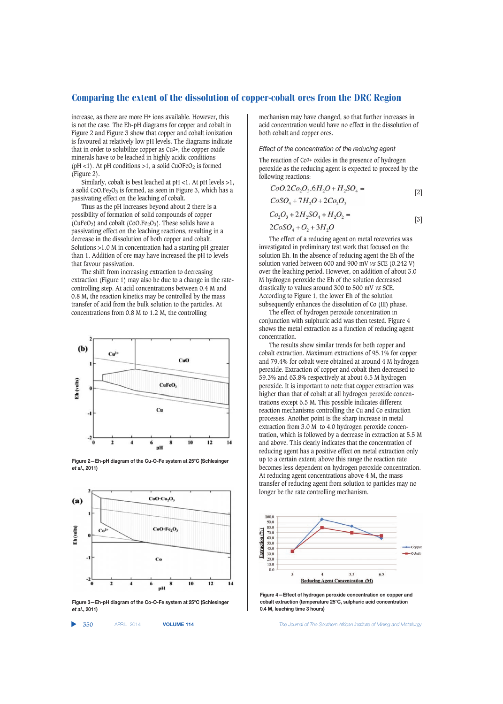increase, as there are more H+ ions available. However, this is not the case. The Eh-pH diagrams for copper and cobalt in Figure 2 and Figure 3 show that copper and cobalt ionization is favoured at relatively low pH levels. The diagrams indicate that in order to solubilize copper as Cu2+, the copper oxide minerals have to be leached in highly acidic conditions (pH <1). At pH conditions >1, a solid CuOFeO<sub>2</sub> is formed (Figure 2).

Similarly, cobalt is best leached at pH <1. At pH levels >1, a solid CoO.Fe $2O<sub>3</sub>$  is formed, as seen in Figure 3, which has a passivating effect on the leaching of cobalt.

Thus as the pH increases beyond about 2 there is a possibility of formation of solid compounds of copper (CuFeO<sub>2</sub>) and cobalt (CoO.Fe<sub>2</sub>O<sub>3</sub>). These solids have a passivating effect on the leaching reactions, resulting in a decrease in the dissolution of both copper and cobalt. Solutions >1.0 M in concentration had a starting pH greater than 1. Addition of ore may have increased the pH to levels that favour passivation.

The shift from increasing extraction to decreasing extraction (Figure 1) may also be due to a change in the ratecontrolling step. At acid concentrations between 0.4 M and 0.8 M, the reaction kinetics may be controlled by the mass transfer of acid from the bulk solution to the particles. At concentrations from 0.8 M to 1.2 M, the controlling



**Figure 2—Eh-pH diagram of the Cu-O-Fe system at 25°C (Schlesinger**  *et al***., 2011)**



**Figure 3—Eh-pH diagram of the Co-O-Fe system at 25°C (Schlesinger** *et al***., 2011)**

▲

mechanism may have changed, so that further increases in acid concentration would have no effect in the dissolution of both cobalt and copper ores.

*Effect of the concentration of the reducing agent* 

The reaction of Co3+ oxides in the presence of hydrogen peroxide as the reducing agent is expected to proceed by the following reactions:

$$
CoO.2Co2O3.6H2O + H2SO4 =\nCoSO4 + 7H2O + 2Co2O3\nCo2O3 + 2H2SO4 + H2O2 =\n2CoSO4 + O2 + 3H2O
$$
\n[3]

The effect of a reducing agent on metal recoveries was investigated in preliminary test work that focused on the solution Eh. In the absence of reducing agent the Eh of the solution varied between 600 and 900 mV *vs* SCE (0.242 V) over the leaching period. However, on addition of about 3.0 M hydrogen peroxide the Eh of the solution decreased drastically to values around 300 to 500 mV *vs* SCE. According to Figure 1, the lower Eh of the solution subsequently enhances the dissolution of Co (III) phase.

The effect of hydrogen peroxide concentration in conjunction with sulphuric acid was then tested. Figure 4 shows the metal extraction as a function of reducing agent concentration.

The results show similar trends for both copper and cobalt extraction. Maximum extractions of 95.1% for copper and 79.4% for cobalt were obtained at around 4 M hydrogen peroxide. Extraction of copper and cobalt then decreased to 59.3% and 63.8% respectively at about 6.5 M hydrogen peroxide. It is important to note that copper extraction was higher than that of cobalt at all hydrogen peroxide concentrations except 6.5 M. This possible indicates different reaction mechanisms controlling the Cu and Co extraction processes. Another point is the sharp increase in metal extraction from 3.0 M to 4.0 hydrogen peroxide concentration, which is followed by a decrease in extraction at 5.5 M and above. This clearly indicates that the concentration of reducing agent has a positive effect on metal extraction only up to a certain extent; above this range the reaction rate becomes less dependent on hydrogen peroxide concentration. At reducing agent concentrations above 4 M, the mass transfer of reducing agent from solution to particles may no longer be the rate controlling mechanism.



**Figure 4—Effect of hydrogen peroxide concentration on copper and cobalt extraction (temperature 25°C, sulphuric acid concentration 0.4 M, leaching time 3 hours)**

350 APRIL 2014 **VOLUME 114** *The Journal of The Southern African Institute of Mining and Metallurgy*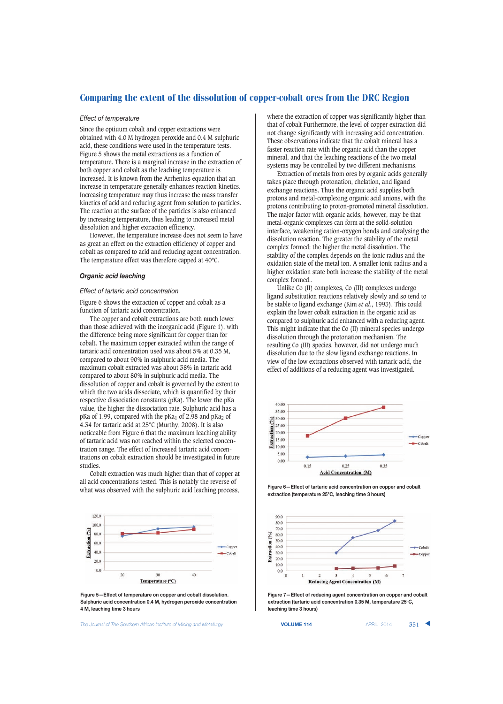### *Effect of temperature*

Since the optiuum cobalt and copper extractions were obtained with 4.0 M hydrogen peroxide and 0.4 M sulphuric acid, these conditions were used in the temperature tests. Figure 5 shows the metal extractions as a function of temperature. There is a marginal increase in the extraction of both copper and cobalt as the leaching temperature is increased. It is known from the Arrhenius equation that an increase in temperature generally enhances reaction kinetics. Increasing temperature may thus increase the mass transfer kinetics of acid and reducing agent from solution to particles. The reaction at the surface of the particles is also enhanced by increasing temperature, thus leading to increased metal dissolution and higher extraction efficiency.

However, the temperature increase does not seem to have as great an effect on the extraction efficiency of copper and cobalt as compared to acid and reducing agent concentration. The temperature effect was therefore capped at 40°C.

### *Organic acid leaching*

#### *Effect of tartaric acid concentration*

Figure 6 shows the extraction of copper and cobalt as a function of tartaric acid concentration.

The copper and cobalt extractions are both much lower than those achieved with the inorganic acid (Figure 1), with the difference being more significant for copper than for cobalt. The maximum copper extracted within the range of tartaric acid concentration used was about 5% at 0.35 M, compared to about 90% in sulphuric acid media. The maximum cobalt extracted was about 38% in tartaric acid compared to about 80% in sulphuric acid media. The dissolution of copper and cobalt is governed by the extent to which the two acids dissociate, which is quantified by their respective dissociation constants (pKa). The lower the pKa value, the higher the dissociation rate. Sulphuric acid has a pKa of 1.99, compared with the pKa<sub>1</sub> of 2.98 and pKa<sub>2</sub> of 4.34 for tartaric acid at 25°C (Murthy, 2008). It is also noticeable from Figure 6 that the maximum leaching ability of tartaric acid was not reached within the selected concentration range. The effect of increased tartaric acid concentrations on cobalt extraction should be investigated in future studies.

Cobalt extraction was much higher than that of copper at all acid concentrations tested. This is notably the reverse of what was observed with the sulphuric acid leaching process,



**Figure 5—Effect of temperature on copper and cobalt dissolution. Sulphuric acid concentration 0.4 M, hydrogen peroxide concentration 4 M, leaching time 3 hours**

The Journal of The Southern African Institute of Mining and Metallurgy **VOLUME 114 VOLUME 114** APRIL 2014 351 **4** 

where the extraction of copper was significantly higher than that of cobalt Furthermore, the level of copper extraction did not change significantly with increasing acid concentration. These observations indicate that the cobalt mineral has a faster reaction rate with the organic acid than the copper mineral, and that the leaching reactions of the two metal systems may be controlled by two different mechanisms.

Extraction of metals from ores by organic acids generally takes place through protonation, chelation, and ligand exchange reactions. Thus the organic acid supplies both protons and metal-complexing organic acid anions, with the protons contributing to proton-promoted mineral dissolution. The major factor with organic acids, however, may be that metal-organic complexes can form at the solid-solution interface, weakening cation-oxygen bonds and catalysing the dissolution reaction. The greater the stability of the metal complex formed; the higher the metal dissolution. The stability of the complex depends on the ionic radius and the oxidation state of the metal ion. A smaller ionic radius and a higher oxidation state both increase the stability of the metal complex formed..

Unlike Co (II) complexes, Co (III) complexes undergo ligand substitution reactions relatively slowly and so tend to be stable to ligand exchange (Kim *et al*., 1993). This could explain the lower cobalt extraction in the organic acid as compared to sulphuric acid enhanced with a reducing agent. This might indicate that the Co (II) mineral species undergo dissolution through the protonation mechanism. The resulting Co (III) species, however, did not undergo much dissolution due to the slow ligand exchange reactions. In view of the low extractions observed with tartaric acid, the effect of additions of a reducing agent was investigated.



**Figure 6—Effect of tartaric acid concentration on copper and cobalt extraction (temperature 25°C, leaching time 3 hours)**



**Figure 7—Effect of reducing agent concentration on copper and cobalt extraction (tartaric acid concentration 0.35 M, temperature 25°C, leaching time 3 hours)**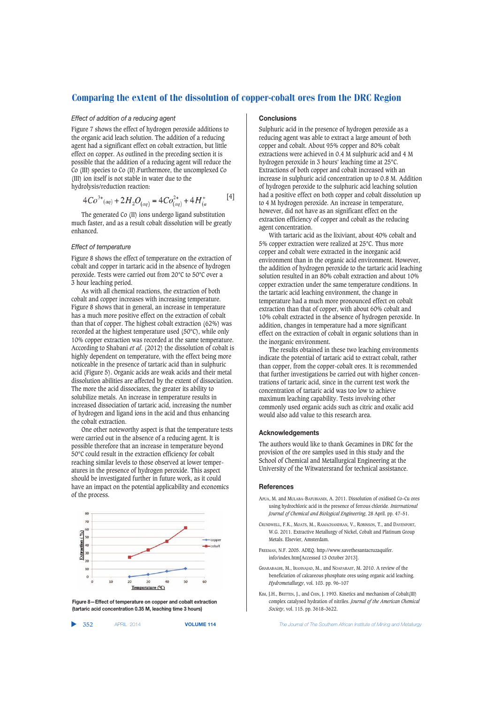### *Effect of addition of a reducing agent*

Figure 7 shows the effect of hydrogen peroxide additions to the organic acid leach solution. The addition of a reducing agent had a significant effect on cobalt extraction, but little effect on copper. As outlined in the preceding section it is possible that the addition of a reducing agent will reduce the Co (III) species to Co (II).Furthermore, the uncomplexed Co (III) ion itself is not stable in water due to the hydrolysis/reduction reaction:

$$
4Co^{3+}(aq) + 2H_2O_{(aq)} = 4Co^{2+}_{(aq)} + 4H^+_{(a)}
$$
 [4]

The generated Co (II) ions undergo ligand substitution much faster, and as a result cobalt dissolution will be greatly enhanced.

### *Effect of temperature*

Figure 8 shows the effect of temperature on the extraction of cobalt and copper in tartaric acid in the absence of hydrogen peroxide. Tests were carried out from 20°C to 50°C over a 3 hour leaching period.

As with all chemical reactions, the extraction of both cobalt and copper increases with increasing temperature. Figure 8 shows that in general, an increase in temperature has a much more positive effect on the extraction of cobalt than that of copper. The highest cobalt extraction (62%) was recorded at the highest temperature used (50°C), while only 10% copper extraction was recorded at the same temperature. According to Shabani *et al*. (2012) the dissolution of cobalt is highly dependent on temperature, with the effect being more noticeable in the presence of tartaric acid than in sulphuric acid (Figure 5). Organic acids are weak acids and their metal dissolution abilities are affected by the extent of dissociation. The more the acid dissociates, the greater its ability to solubilize metals. An increase in temperature results in increased dissociation of tartaric acid, increasing the number of hydrogen and ligand ions in the acid and thus enhancing the cobalt extraction.

One other noteworthy aspect is that the temperature tests were carried out in the absence of a reducing agent. It is possible therefore that an increase in temperature beyond 50°C could result in the extraction efficiency for cobalt reaching similar levels to those observed at lower temperatures in the presence of hydrogen peroxide. This aspect should be investigated further in future work, as it could have an impact on the potential applicability and economics of the process.



**Figure 8—Effect of temperature on copper and cobalt extraction (tartaric acid concentration 0.35 M, leaching time 3 hours)**

| 352 | APRI 2014 | <b>VOLUN</b> |
|-----|-----------|--------------|
|     |           |              |

### **Conclusions**

Sulphuric acid in the presence of hydrogen peroxide as a reducing agent was able to extract a large amount of both copper and cobalt. About 95% copper and 80% cobalt extractions were achieved in 0.4 M sulphuric acid and 4 M hydrogen peroxide in 3 hours' leaching time at 25°C. Extractions of both copper and cobalt increased with an increase in sulphuric acid concentration up to 0.8 M. Addition of hydrogen peroxide to the sulphuric acid leaching solution had a positive effect on both copper and cobalt dissolution up to 4 M hydrogen peroxide. An increase in temperature, however, did not have as an significant effect on the extraction efficiency of copper and cobalt as the reducing agent concentration.

With tartaric acid as the lixiviant, about 40% cobalt and 5% copper extraction were realized at 25°C. Thus more copper and cobalt were extracted in the inorganic acid environment than in the organic acid environment. However, the addition of hydrogen peroxide to the tartaric acid leaching solution resulted in an 80% cobalt extraction and about 10% copper extraction under the same temperature conditions. In the tartaric acid leaching environment, the change in temperature had a much more pronounced effect on cobalt extraction than that of copper, with about 60% cobalt and 10% cobalt extracted in the absence of hydrogen peroxide. In addition, changes in temperature had a more significant effect on the extraction of cobalt in organic solutions than in the inorganic environment.

The results obtained in these two leaching environments indicate the potential of tartaric acid to extract cobalt, rather than copper, from the copper-cobalt ores. It is recommended that further investigations be carried out with higher concentrations of tartaric acid, since in the current test work the concentration of tartaric acid was too low to achieve maximum leaching capability. Tests involving other commonly used organic acids such as citric and oxalic acid would also add value to this research area.

#### **Acknowledgements**

The authors would like to thank Gecamines in DRC for the provision of the ore samples used in this study and the School of Chemical and Metallurgical Engineering at the University of the Witwatersrand for technical assistance.

#### **References**

- APUA, M. and MULABA-BAFUBIANDI, A. 2011. Dissolution of oxidised Co–Cu ores using hydrochloric acid in the presence of ferrous chloride. *International Journal of Chemical and Biological Engineering*, 28 April. pp. 47–51.
- CRUNDWELL, F.K., MOATS, M., RAMACHANDRAN, V., ROBINSON, T., and DAVENPORT W.G. 2011. Extractive Metallurgy of Nickel, Cobalt and Platinum Group Metals. Elsevier, Amsterdam.
- FREEMAN, N.F. 2005. ADEQ. http://www.savethesantacruzaquifer. info/index.htm[Accessed 13 October 2013].
- GHARABAGHI, M., IRANNAJAD, M., and NOAPARAST, M. 2010. A review of the beneficiation of calcareous phosphate ores using organic acid leaching. *Hydrometallurgy*, vol. 103. pp. 96–107
- KIM, J.H., BRITTEN, J., and CHIN, J. 1993. Kinetics and mechanism of Cobalt(III) complex catalysed hydration of nitriles. *Journal of the American Chemical Society*, vol. 115. pp. 3618–3622.

**1524 114** *The Journal of The Southern African Institute of Mining and Metallurgy*